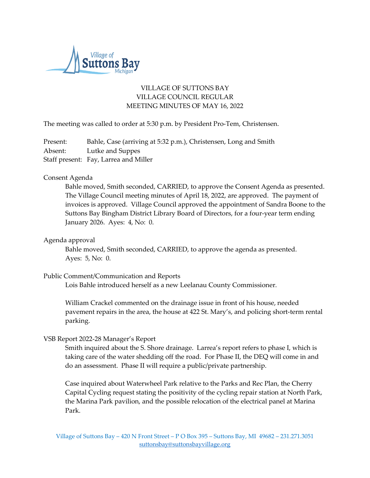

# VILLAGE OF SUTTONS BAY VILLAGE COUNCIL REGULAR MEETING MINUTES OF MAY 16, 2022

The meeting was called to order at 5:30 p.m. by President Pro-Tem, Christensen.

Present: Bahle, Case (arriving at 5:32 p.m.), Christensen, Long and Smith Absent: Lutke and Suppes Staff present: Fay, Larrea and Miller

## Consent Agenda

Bahle moved, Smith seconded, CARRIED, to approve the Consent Agenda as presented. The Village Council meeting minutes of April 18, 2022, are approved. The payment of invoices is approved. Village Council approved the appointment of Sandra Boone to the Suttons Bay Bingham District Library Board of Directors, for a four-year term ending January 2026. Ayes: 4, No: 0.

## Agenda approval

Bahle moved, Smith seconded, CARRIED, to approve the agenda as presented. Ayes: 5, No: 0.

## Public Comment/Communication and Reports

Lois Bahle introduced herself as a new Leelanau County Commissioner.

William Crackel commented on the drainage issue in front of his house, needed pavement repairs in the area, the house at 422 St. Mary's, and policing short-term rental parking.

## VSB Report 2022-28 Manager's Report

Smith inquired about the S. Shore drainage. Larrea's report refers to phase I, which is taking care of the water shedding off the road. For Phase II, the DEQ will come in and do an assessment. Phase II will require a public/private partnership.

Case inquired about Waterwheel Park relative to the Parks and Rec Plan, the Cherry Capital Cycling request stating the positivity of the cycling repair station at North Park, the Marina Park pavilion, and the possible relocation of the electrical panel at Marina Park.